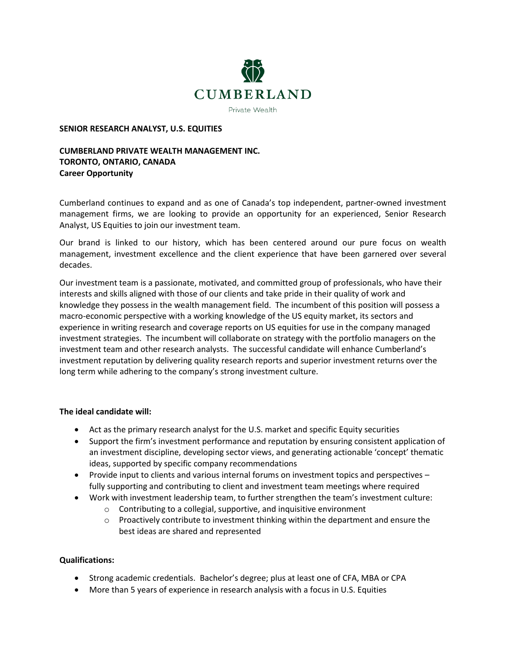

### **SENIOR RESEARCH ANALYST, U.S. EQUITIES**

# **CUMBERLAND PRIVATE WEALTH MANAGEMENT INC. TORONTO, ONTARIO, CANADA Career Opportunity**

Cumberland continues to expand and as one of Canada's top independent, partner-owned investment management firms, we are looking to provide an opportunity for an experienced, Senior Research Analyst, US Equities to join our investment team.

Our brand is linked to our history, which has been centered around our pure focus on wealth management, investment excellence and the client experience that have been garnered over several decades.

Our investment team is a passionate, motivated, and committed group of professionals, who have their interests and skills aligned with those of our clients and take pride in their quality of work and knowledge they possess in the wealth management field. The incumbent of this position will possess a macro-economic perspective with a working knowledge of the US equity market, its sectors and experience in writing research and coverage reports on US equities for use in the company managed investment strategies. The incumbent will collaborate on strategy with the portfolio managers on the investment team and other research analysts. The successful candidate will enhance Cumberland's investment reputation by delivering quality research reports and superior investment returns over the long term while adhering to the company's strong investment culture.

### **The ideal candidate will:**

- Act as the primary research analyst for the U.S. market and specific Equity securities
- Support the firm's investment performance and reputation by ensuring consistent application of an investment discipline, developing sector views, and generating actionable 'concept' thematic ideas, supported by specific company recommendations
- Provide input to clients and various internal forums on investment topics and perspectives fully supporting and contributing to client and investment team meetings where required
- Work with investment leadership team, to further strengthen the team's investment culture:
	- o Contributing to a collegial, supportive, and inquisitive environment
	- $\circ$  Proactively contribute to investment thinking within the department and ensure the best ideas are shared and represented

## **Qualifications:**

- Strong academic credentials. Bachelor's degree; plus at least one of CFA, MBA or CPA
- More than 5 years of experience in research analysis with a focus in U.S. Equities